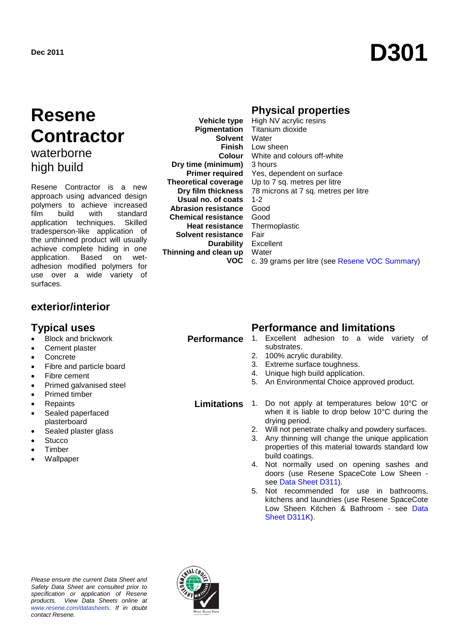# Dec 2011 **D301**

## **Resene Contractor** waterborne

high build

Resene Contractor is a new approach using advanced design polymers to achieve increased<br>film build with standard film build with standard application techniques. Skilled tradesperson-like application of the unthinned product will usually achieve complete hiding in one<br>application. Based on wetapplication. adhesion modified polymers for use over a wide variety of surfaces.

**Vehicle type Pigmentation Solvent** Water **Dry time (minimum) Primer required Theoretical coverage Dry film thickness Usual no. of coats Abrasion resistance** Good **Chemical resistance** Good **Heat resistance Solvent resistance Durability Thinning and clean up VOC**

#### **Physical properties**

**Finish** Low sheen **Colour** White and colours off-white High NV acrylic resins Titanium dioxide 3 hours Yes, dependent on surface Up to 7 sq. metres per litre 78 microns at 7 sq. metres per litre 1-2 Thermoplastic Fair Excellent **Water** c. 39 grams per litre (see [Resene VOC Summary\)](http://www.resene.co.nz/archspec/datashts/vocsummary.pdf)

### **exterior/interior**

- Block and brickwork
- Cement plaster
- **Concrete**
- Fibre and particle board
- Fibre cement
- Primed galvanised steel
- Primed timber
- **Repaints**
- Sealed paperfaced plasterboard
- Sealed plaster glass
- **Stucco**
- **Timber**
- **Wallpaper**

#### **Typical uses Performance and limitations**

- **Performance** 1. Excellent adhesion to a wide variety of substrates.
	- 2. 100% acrylic durability.
	- 3. Extreme surface toughness.
	- 4. Unique high build application.
	- 5. An Environmental Choice approved product.

#### **Limitations** 1. Do not apply at temperatures below 10°C or when it is liable to drop below 10°C during the drying period.

- 2. Will not penetrate chalky and powdery surfaces.
- 3. Any thinning will change the unique application properties of this material towards standard low build coatings.
- 4. Not normally used on opening sashes and doors (use Resene SpaceCote Low Sheen see [Data Sheet D311\)](http://www.resene.co.nz/archspec/datashts/d311_Spacecote_Low_Sheen.pdf).
- 5. Not recommended for use in bathrooms, kitchens and laundries (use Resene SpaceCote Low Sheen Kitchen & Bathroom - see Data [Sheet D311K\)](http://www.resene.co.nz/archspec/datashts/d311K_Spacecote_Low_Sheen_K.pdf).